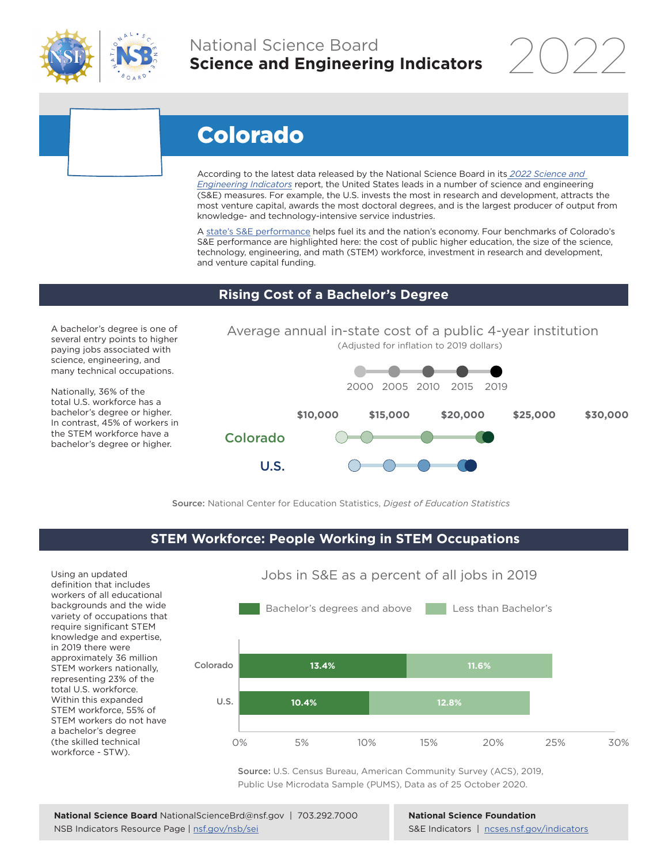

## National Science Board **Science and Engineering Indicators**

2022

# Colorado

According to the latest data released by the National Science Board in its *[2022 Science and](https://www.ncses.nsf.gov/indicators)  [Engineering Indicators](https://www.ncses.nsf.gov/indicators)* report, the United States leads in a number of science and engineering (S&E) measures. For example, the U.S. invests the most in research and development, attracts the most venture capital, awards the most doctoral degrees, and is the largest producer of output from knowledge- and technology-intensive service industries.

A state's S&E performance helps fuel its and the nation's economy. Four benchmarks of Colorado's S&E performance are highlighted here: the cost of public higher education, the size of the science, technology, engineering, and math (STEM) workforce, investment in research and development, and venture capital funding.

#### **Rising Cost of a Bachelor's Degree**

A bachelor's degree is one of several entry points to higher paying jobs associated with science, engineering, and many technical occupations.

Nationally, 36% of the total U.S. workforce has a bachelor's degree or higher. In contrast, 45% of workers in the STEM workforce have a bachelor's degree or higher.



Source: National Center for Education Statistics, *Digest of Education Statistics*

#### **STEM Workforce: People Working in STEM Occupations**

Using an updated definition that includes workers of all educational backgrounds and the wide variety of occupations that require significant STEM knowledge and expertise, in 2019 there were approximately 36 million STEM workers nationally, representing 23% of the total U.S. workforce. Within this expanded STEM workforce, 55% of STEM workers do not have a bachelor's degree (the skilled technical workforce - STW).



Jobs in S&E as a percent of all jobs in 2019

Source: U.S. Census Bureau, American Community Survey (ACS), 2019, Public Use Microdata Sample (PUMS), Data as of 25 October 2020.

**National Science Foundation** S&E Indicators | [ncses.nsf.gov/indicators](https://www.ncses.nsf.gov/indicators)